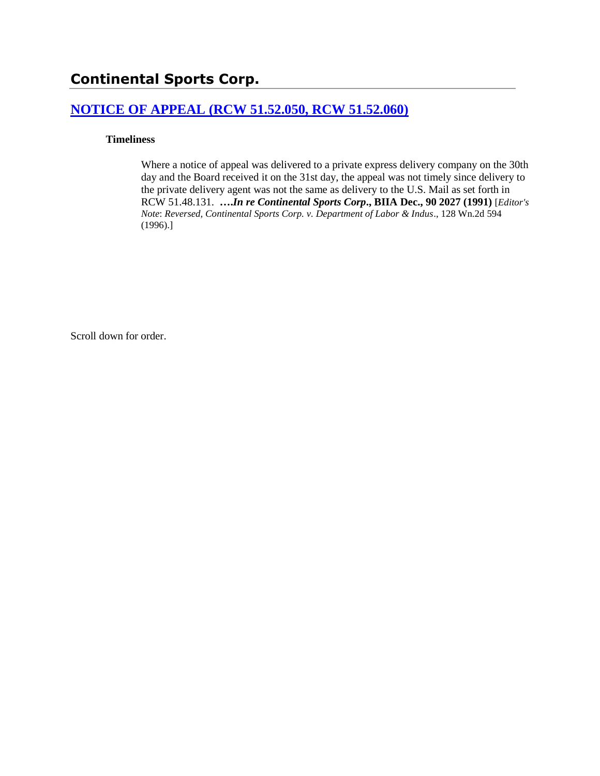# **Continental Sports Corp.**

# **[NOTICE OF APPEAL \(RCW 51.52.050, RCW 51.52.060\)](http://www.biia.wa.gov/SDSubjectIndex.html#NOTICE_OF_APPEAL)**

### **Timeliness**

Where a notice of appeal was delivered to a private express delivery company on the 30th day and the Board received it on the 31st day, the appeal was not timely since delivery to the private delivery agent was not the same as delivery to the U.S. Mail as set forth in RCW 51.48.131. **….***In re Continental Sports Corp***., BIIA Dec., 90 2027 (1991)** [*Editor's Note*: *Reversed, Continental Sports Corp. v. Department of Labor & Indus*., 128 Wn.2d 594 (1996).]

Scroll down for order.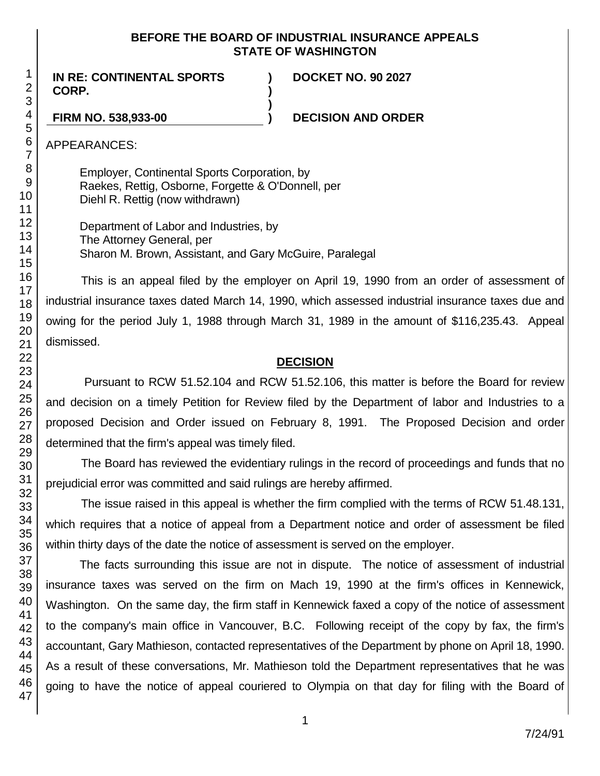### **BEFORE THE BOARD OF INDUSTRIAL INSURANCE APPEALS STATE OF WASHINGTON**

**) )**

**)**

**IN RE: CONTINENTAL SPORTS CORP.**

**DOCKET NO. 90 2027**

**FIRM NO. 538,933-00 ) DECISION AND ORDER**

APPEARANCES:

Employer, Continental Sports Corporation, by Raekes, Rettig, Osborne, Forgette & O'Donnell, per Diehl R. Rettig (now withdrawn)

Department of Labor and Industries, by The Attorney General, per Sharon M. Brown, Assistant, and Gary McGuire, Paralegal

This is an appeal filed by the employer on April 19, 1990 from an order of assessment of industrial insurance taxes dated March 14, 1990, which assessed industrial insurance taxes due and owing for the period July 1, 1988 through March 31, 1989 in the amount of \$116,235.43. Appeal dismissed.

# **DECISION**

Pursuant to RCW 51.52.104 and RCW 51.52.106, this matter is before the Board for review and decision on a timely Petition for Review filed by the Department of labor and Industries to a proposed Decision and Order issued on February 8, 1991. The Proposed Decision and order determined that the firm's appeal was timely filed.

The Board has reviewed the evidentiary rulings in the record of proceedings and funds that no prejudicial error was committed and said rulings are hereby affirmed.

The issue raised in this appeal is whether the firm complied with the terms of RCW 51.48.131, which requires that a notice of appeal from a Department notice and order of assessment be filed within thirty days of the date the notice of assessment is served on the employer.

The facts surrounding this issue are not in dispute. The notice of assessment of industrial insurance taxes was served on the firm on Mach 19, 1990 at the firm's offices in Kennewick, Washington. On the same day, the firm staff in Kennewick faxed a copy of the notice of assessment to the company's main office in Vancouver, B.C. Following receipt of the copy by fax, the firm's accountant, Gary Mathieson, contacted representatives of the Department by phone on April 18, 1990. As a result of these conversations, Mr. Mathieson told the Department representatives that he was going to have the notice of appeal couriered to Olympia on that day for filing with the Board of

1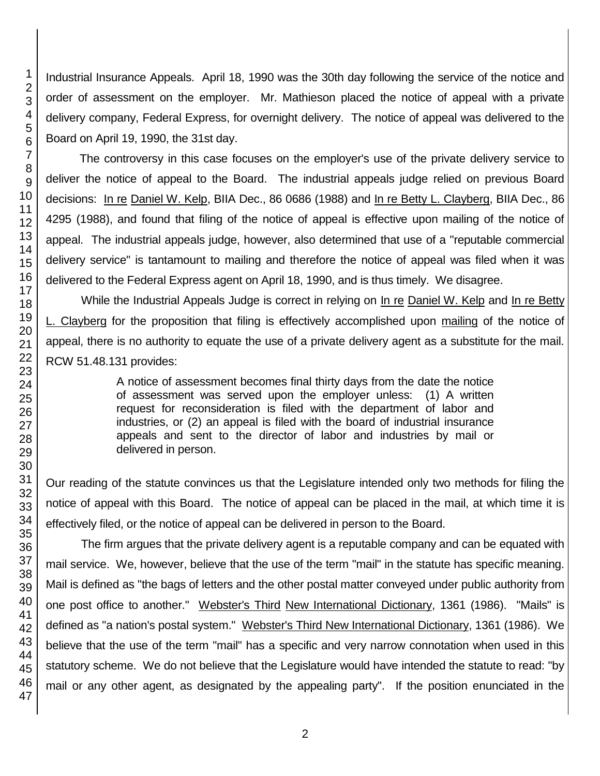Industrial Insurance Appeals. April 18, 1990 was the 30th day following the service of the notice and order of assessment on the employer. Mr. Mathieson placed the notice of appeal with a private delivery company, Federal Express, for overnight delivery. The notice of appeal was delivered to the Board on April 19, 1990, the 31st day.

The controversy in this case focuses on the employer's use of the private delivery service to deliver the notice of appeal to the Board. The industrial appeals judge relied on previous Board decisions: In re Daniel W. Kelp, BIIA Dec., 86 0686 (1988) and In re Betty L. Clayberg, BIIA Dec., 86 4295 (1988), and found that filing of the notice of appeal is effective upon mailing of the notice of appeal. The industrial appeals judge, however, also determined that use of a "reputable commercial delivery service" is tantamount to mailing and therefore the notice of appeal was filed when it was delivered to the Federal Express agent on April 18, 1990, and is thus timely. We disagree.

While the Industrial Appeals Judge is correct in relying on In re Daniel W. Kelp and In re Betty L. Clayberg for the proposition that filing is effectively accomplished upon mailing of the notice of appeal, there is no authority to equate the use of a private delivery agent as a substitute for the mail. RCW 51.48.131 provides:

> A notice of assessment becomes final thirty days from the date the notice of assessment was served upon the employer unless: (1) A written request for reconsideration is filed with the department of labor and industries, or (2) an appeal is filed with the board of industrial insurance appeals and sent to the director of labor and industries by mail or delivered in person.

Our reading of the statute convinces us that the Legislature intended only two methods for filing the notice of appeal with this Board. The notice of appeal can be placed in the mail, at which time it is effectively filed, or the notice of appeal can be delivered in person to the Board.

The firm argues that the private delivery agent is a reputable company and can be equated with mail service. We, however, believe that the use of the term "mail" in the statute has specific meaning. Mail is defined as "the bags of letters and the other postal matter conveyed under public authority from one post office to another." Webster's Third New International Dictionary, 1361 (1986). "Mails" is defined as "a nation's postal system." Webster's Third New International Dictionary, 1361 (1986). We believe that the use of the term "mail" has a specific and very narrow connotation when used in this statutory scheme. We do not believe that the Legislature would have intended the statute to read: "by mail or any other agent, as designated by the appealing party". If the position enunciated in the

1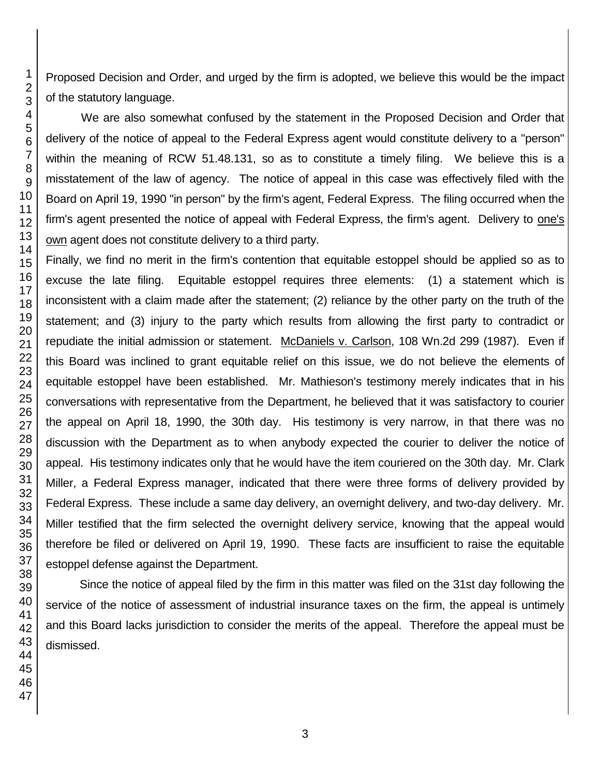Proposed Decision and Order, and urged by the firm is adopted, we believe this would be the impact of the statutory language.

We are also somewhat confused by the statement in the Proposed Decision and Order that delivery of the notice of appeal to the Federal Express agent would constitute delivery to a "person" within the meaning of RCW 51.48.131, so as to constitute a timely filing. We believe this is a misstatement of the law of agency. The notice of appeal in this case was effectively filed with the Board on April 19, 1990 "in person" by the firm's agent, Federal Express. The filing occurred when the firm's agent presented the notice of appeal with Federal Express, the firm's agent. Delivery to one's own agent does not constitute delivery to a third party.

Finally, we find no merit in the firm's contention that equitable estoppel should be applied so as to excuse the late filing. Equitable estoppel requires three elements: (1) a statement which is inconsistent with a claim made after the statement; (2) reliance by the other party on the truth of the statement; and (3) injury to the party which results from allowing the first party to contradict or repudiate the initial admission or statement. McDaniels v. Carlson, 108 Wn.2d 299 (1987). Even if this Board was inclined to grant equitable relief on this issue, we do not believe the elements of equitable estoppel have been established. Mr. Mathieson's testimony merely indicates that in his conversations with representative from the Department, he believed that it was satisfactory to courier the appeal on April 18, 1990, the 30th day. His testimony is very narrow, in that there was no discussion with the Department as to when anybody expected the courier to deliver the notice of appeal. His testimony indicates only that he would have the item couriered on the 30th day. Mr. Clark Miller, a Federal Express manager, indicated that there were three forms of delivery provided by Federal Express. These include a same day delivery, an overnight delivery, and two-day delivery. Mr. Miller testified that the firm selected the overnight delivery service, knowing that the appeal would therefore be filed or delivered on April 19, 1990. These facts are insufficient to raise the equitable estoppel defense against the Department.

Since the notice of appeal filed by the firm in this matter was filed on the 31st day following the service of the notice of assessment of industrial insurance taxes on the firm, the appeal is untimely and this Board lacks jurisdiction to consider the merits of the appeal. Therefore the appeal must be dismissed.